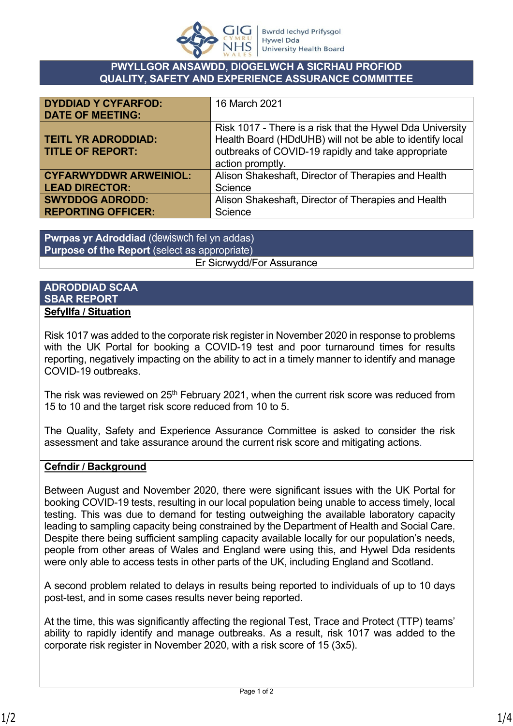

#### **PWYLLGOR ANSAWDD, DIOGELWCH A SICRHAU PROFIOD QUALITY, SAFETY AND EXPERIENCE ASSURANCE COMMITTEE**

| <b>DYDDIAD Y CYFARFOD:</b>    | 16 March 2021                                             |
|-------------------------------|-----------------------------------------------------------|
| <b>DATE OF MEETING:</b>       |                                                           |
|                               | Risk 1017 - There is a risk that the Hywel Dda University |
| <b>TEITL YR ADRODDIAD:</b>    | Health Board (HDdUHB) will not be able to identify local  |
| <b>TITLE OF REPORT:</b>       | outbreaks of COVID-19 rapidly and take appropriate        |
|                               | action promptly.                                          |
| <b>CYFARWYDDWR ARWEINIOL:</b> | Alison Shakeshaft, Director of Therapies and Health       |
| <b>LEAD DIRECTOR:</b>         | Science                                                   |
| <b>SWYDDOG ADRODD:</b>        | Alison Shakeshaft, Director of Therapies and Health       |
| <b>REPORTING OFFICER:</b>     | Science                                                   |

**Pwrpas yr Adroddiad** (dewiswch fel yn addas) **Purpose of the Report** (select as appropriate) Er Sicrwydd/For Assurance

#### **ADRODDIAD SCAA SBAR REPORT Sefyllfa / Situation**

Risk 1017 was added to the corporate risk register in November 2020 in response to problems with the UK Portal for booking a COVID-19 test and poor turnaround times for results reporting, negatively impacting on the ability to act in a timely manner to identify and manage COVID-19 outbreaks.

The risk was reviewed on  $25<sup>th</sup>$  February 2021, when the current risk score was reduced from 15 to 10 and the target risk score reduced from 10 to 5.

The Quality, Safety and Experience Assurance Committee is asked to consider the risk assessment and take assurance around the current risk score and mitigating actions.

# **Cefndir / Background**

Between August and November 2020, there were significant issues with the UK Portal for booking COVID-19 tests, resulting in our local population being unable to access timely, local testing. This was due to demand for testing outweighing the available laboratory capacity leading to sampling capacity being constrained by the Department of Health and Social Care. Despite there being sufficient sampling capacity available locally for our population's needs, people from other areas of Wales and England were using this, and Hywel Dda residents were only able to access tests in other parts of the UK, including England and Scotland.

A second problem related to delays in results being reported to individuals of up to 10 days post-test, and in some cases results never being reported.

At the time, this was significantly affecting the regional Test, Trace and Protect (TTP) teams' ability to rapidly identify and manage outbreaks. As a result, risk 1017 was added to the corporate risk register in November 2020, with a risk score of 15 (3x5).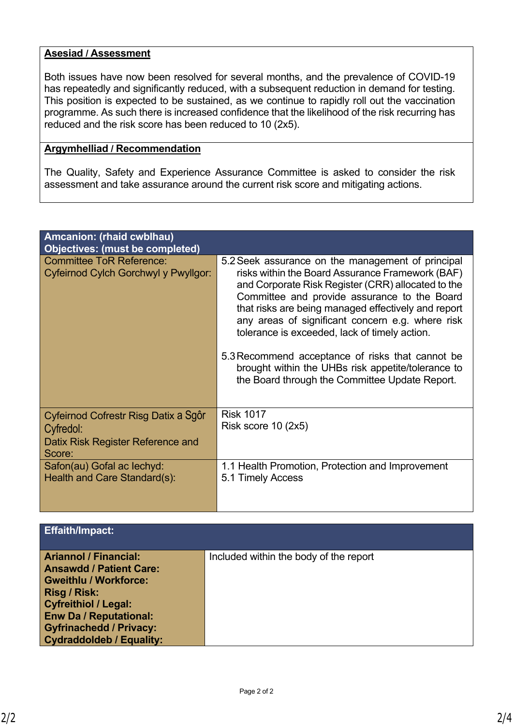### **Asesiad / Assessment**

Both issues have now been resolved for several months, and the prevalence of COVID-19 has repeatedly and significantly reduced, with a subsequent reduction in demand for testing. This position is expected to be sustained, as we continue to rapidly roll out the vaccination programme. As such there is increased confidence that the likelihood of the risk recurring has reduced and the risk score has been reduced to 10 (2x5).

# **Argymhelliad / Recommendation**

The Quality, Safety and Experience Assurance Committee is asked to consider the risk assessment and take assurance around the current risk score and mitigating actions.

| Amcanion: (rhaid cwblhau)<br><b>Objectives: (must be completed)</b>                              |                                                                                                                                                                                                                                                                                                                                                                                                                                                                                                                                     |
|--------------------------------------------------------------------------------------------------|-------------------------------------------------------------------------------------------------------------------------------------------------------------------------------------------------------------------------------------------------------------------------------------------------------------------------------------------------------------------------------------------------------------------------------------------------------------------------------------------------------------------------------------|
| <b>Committee ToR Reference:</b><br>Cyfeirnod Cylch Gorchwyl y Pwyllgor:                          | 5.2 Seek assurance on the management of principal<br>risks within the Board Assurance Framework (BAF)<br>and Corporate Risk Register (CRR) allocated to the<br>Committee and provide assurance to the Board<br>that risks are being managed effectively and report<br>any areas of significant concern e.g. where risk<br>tolerance is exceeded, lack of timely action.<br>5.3 Recommend acceptance of risks that cannot be<br>brought within the UHBs risk appetite/tolerance to<br>the Board through the Committee Update Report. |
| Cyfeirnod Cofrestr Risg Datix a Sgôr<br>Cyfredol:<br>Datix Risk Register Reference and<br>Score: | <b>Risk 1017</b><br>Risk score $10$ (2x5)                                                                                                                                                                                                                                                                                                                                                                                                                                                                                           |
| Safon(au) Gofal ac lechyd:<br>Health and Care Standard(s):                                       | 1.1 Health Promotion, Protection and Improvement<br>5.1 Timely Access                                                                                                                                                                                                                                                                                                                                                                                                                                                               |

| <b>Effaith/Impact:</b>                                                                                                                                                                                                                              |                                        |
|-----------------------------------------------------------------------------------------------------------------------------------------------------------------------------------------------------------------------------------------------------|----------------------------------------|
| <b>Ariannol / Financial:</b><br><b>Ansawdd / Patient Care:</b><br><b>Gweithlu / Workforce:</b><br>Risg / Risk:<br><b>Cyfreithiol / Legal:</b><br><b>Enw Da / Reputational:</b><br><b>Gyfrinachedd / Privacy:</b><br><b>Cydraddoldeb / Equality:</b> | Included within the body of the report |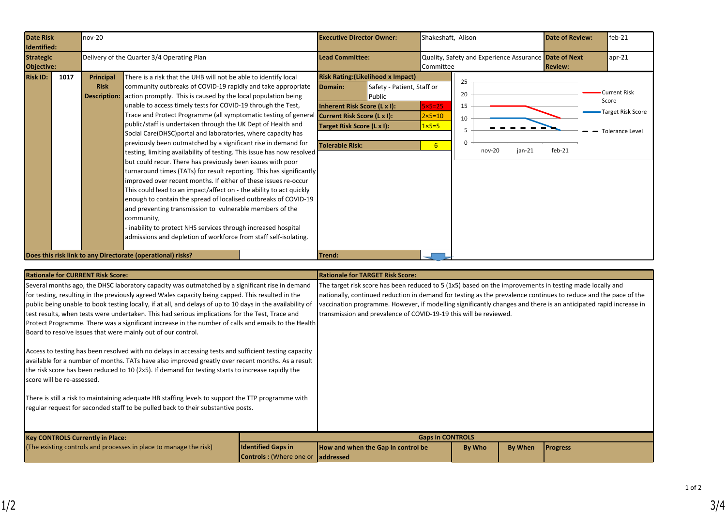| <b>Date Risk</b><br>Identified: | nov-20 |                                                                                                                                                                                                                                                                                                                                                                                                                                                                                                                                                                                                                                                                                                                                                                                                                                                                                                                                                                                                                                                                                                                                                                                                                                       |                                                             |                        |                                                                                                                                | <b>Executive Director Owner:</b>                                                  |                                                                  | Shakeshaft, Alison   |                    | <b>Date of Review:</b> | $feb-21$                                                                           |
|---------------------------------|--------|---------------------------------------------------------------------------------------------------------------------------------------------------------------------------------------------------------------------------------------------------------------------------------------------------------------------------------------------------------------------------------------------------------------------------------------------------------------------------------------------------------------------------------------------------------------------------------------------------------------------------------------------------------------------------------------------------------------------------------------------------------------------------------------------------------------------------------------------------------------------------------------------------------------------------------------------------------------------------------------------------------------------------------------------------------------------------------------------------------------------------------------------------------------------------------------------------------------------------------------|-------------------------------------------------------------|------------------------|--------------------------------------------------------------------------------------------------------------------------------|-----------------------------------------------------------------------------------|------------------------------------------------------------------|----------------------|--------------------|------------------------|------------------------------------------------------------------------------------|
| <b>Strategic</b><br>Objective:  |        |                                                                                                                                                                                                                                                                                                                                                                                                                                                                                                                                                                                                                                                                                                                                                                                                                                                                                                                                                                                                                                                                                                                                                                                                                                       | Delivery of the Quarter 3/4 Operating Plan                  | <b>Lead Committee:</b> |                                                                                                                                | Quality, Safety and Experience Assurance Date of Next<br>Committee                |                                                                  |                      | <b>Review:</b>     | apr-21                 |                                                                                    |
| <b>Risk ID:</b>                 | 1017   | There is a risk that the UHB will not be able to identify local<br>Principal<br>community outbreaks of COVID-19 rapidly and take appropriate<br><b>Risk</b><br>action promptly. This is caused by the local population being<br><b>Description:</b><br>unable to access timely tests for COVID-19 through the Test,<br>Trace and Protect Programme (all symptomatic testing of general<br>public/staff is undertaken through the UK Dept of Health and<br>Social Care(DHSC) portal and laboratories, where capacity has<br>previously been outmatched by a significant rise in demand for<br>testing, limiting availability of testing. This issue has now resolved<br>but could recur. There has previously been issues with poor<br>turnaround times (TATs) for result reporting. This has significantly<br>improved over recent months. If either of these issues re-occur<br>This could lead to an impact/affect on - the ability to act quickly<br>enough to contain the spread of localised outbreaks of COVID-19<br>and preventing transmission to vulnerable members of the<br>community,<br>inability to protect NHS services through increased hospital<br>admissions and depletion of workforce from staff self-isolating. |                                                             |                        | Domain:<br>Inherent Risk Score (L x I):<br><b>Current Risk Score (L x I):</b><br>Target Risk Score (L x I):<br>Tolerable Risk: | <b>Risk Rating: (Likelihood x Impact)</b><br>Safety - Patient, Staff or<br>Public | $5x5=25$<br>$2\times 5=10$<br>$1 \times 5 = 5$<br>6 <sup>1</sup> | 25<br>20<br>15<br>10 | $jan-21$<br>nov-20 | $feb-21$               | <b>Current Risk</b><br>Score<br><b>Target Risk Score</b><br><b>Tolerance Level</b> |
|                                 |        |                                                                                                                                                                                                                                                                                                                                                                                                                                                                                                                                                                                                                                                                                                                                                                                                                                                                                                                                                                                                                                                                                                                                                                                                                                       | Does this risk link to any Directorate (operational) risks? |                        | Trend:                                                                                                                         |                                                                                   |                                                                  |                      |                    |                        |                                                                                    |

| <b>Rationale for CURRENT Risk Score:</b>                                                                                                                                                                                                                                                                                                                                                                                                                                                                                                                                                                                                                                                                                                                                                                   |                                                                                                                                                                                                                                                                                                                                                                                                                     | <b>Rationale for TARGET Risk Score:</b> |        |         |                 |  |  |
|------------------------------------------------------------------------------------------------------------------------------------------------------------------------------------------------------------------------------------------------------------------------------------------------------------------------------------------------------------------------------------------------------------------------------------------------------------------------------------------------------------------------------------------------------------------------------------------------------------------------------------------------------------------------------------------------------------------------------------------------------------------------------------------------------------|---------------------------------------------------------------------------------------------------------------------------------------------------------------------------------------------------------------------------------------------------------------------------------------------------------------------------------------------------------------------------------------------------------------------|-----------------------------------------|--------|---------|-----------------|--|--|
| Several months ago, the DHSC laboratory capacity was outmatched by a significant rise in demand<br>for testing, resulting in the previously agreed Wales capacity being capped. This resulted in the<br>public being unable to book testing locally, if at all, and delays of up to 10 days in the availability of<br>test results, when tests were undertaken. This had serious implications for the Test, Trace and<br>Protect Programme. There was a significant increase in the number of calls and emails to the Health<br>Board to resolve issues that were mainly out of our control.<br>Access to testing has been resolved with no delays in accessing tests and sufficient testing capacity<br>available for a number of months. TATs have also improved greatly over recent months. As a result | The target risk score has been reduced to 5 (1x5) based on the improvements in testing made locally and<br>nationally, continued reduction in demand for testing as the prevalence continues to reduce and the pace of the<br>vaccination programme. However, if modelling significantly changes and there is an anticipated rapid increase in<br>transmission and prevalence of COVID-19-19 this will be reviewed. |                                         |        |         |                 |  |  |
| the risk score has been reduced to 10 (2x5). If demand for testing starts to increase rapidly the<br>score will be re-assessed.                                                                                                                                                                                                                                                                                                                                                                                                                                                                                                                                                                                                                                                                            |                                                                                                                                                                                                                                                                                                                                                                                                                     |                                         |        |         |                 |  |  |
| There is still a risk to maintaining adequate HB staffing levels to support the TTP programme with<br>regular request for seconded staff to be pulled back to their substantive posts.                                                                                                                                                                                                                                                                                                                                                                                                                                                                                                                                                                                                                     |                                                                                                                                                                                                                                                                                                                                                                                                                     |                                         |        |         |                 |  |  |
| <b>Key CONTROLS Currently in Place:</b>                                                                                                                                                                                                                                                                                                                                                                                                                                                                                                                                                                                                                                                                                                                                                                    |                                                                                                                                                                                                                                                                                                                                                                                                                     | <b>Gaps in CONTROLS</b>                 |        |         |                 |  |  |
| (The existing controls and processes in place to manage the risk)                                                                                                                                                                                                                                                                                                                                                                                                                                                                                                                                                                                                                                                                                                                                          | <b>Identified Gaps in</b><br><b>Controls:</b> (Where one or addressed                                                                                                                                                                                                                                                                                                                                               | How and when the Gap in control be      | By Who | By When | <b>Progress</b> |  |  |